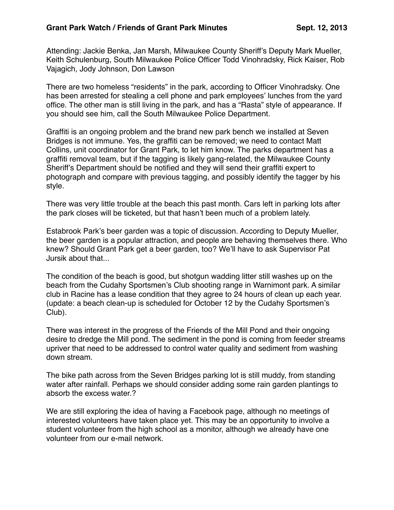Attending: Jackie Benka, Jan Marsh, Milwaukee County Sheriff's Deputy Mark Mueller, Keith Schulenburg, South Milwaukee Police Officer Todd Vinohradsky, Rick Kaiser, Rob Vajagich, Jody Johnson, Don Lawson

There are two homeless "residents" in the park, according to Officer Vinohradsky. One has been arrested for stealing a cell phone and park employees' lunches from the yard office. The other man is still living in the park, and has a "Rasta" style of appearance. If you should see him, call the South Milwaukee Police Department.

Graffiti is an ongoing problem and the brand new park bench we installed at Seven Bridges is not immune. Yes, the graffiti can be removed; we need to contact Matt Collins, unit coordinator for Grant Park, to let him know. The parks department has a graffiti removal team, but if the tagging is likely gang-related, the Milwaukee County Sheriff's Department should be notified and they will send their graffiti expert to photograph and compare with previous tagging, and possibly identify the tagger by his style.

There was very little trouble at the beach this past month. Cars left in parking lots after the park closes will be ticketed, but that hasn't been much of a problem lately.

Estabrook Park's beer garden was a topic of discussion. According to Deputy Mueller, the beer garden is a popular attraction, and people are behaving themselves there. Who knew? Should Grant Park get a beer garden, too? We'll have to ask Supervisor Pat Jursik about that...

The condition of the beach is good, but shotgun wadding litter still washes up on the beach from the Cudahy Sportsmen's Club shooting range in Warnimont park. A similar club in Racine has a lease condition that they agree to 24 hours of clean up each year. (update: a beach clean-up is scheduled for October 12 by the Cudahy Sportsmen's Club).

There was interest in the progress of the Friends of the Mill Pond and their ongoing desire to dredge the Mill pond. The sediment in the pond is coming from feeder streams upriver that need to be addressed to control water quality and sediment from washing down stream.

The bike path across from the Seven Bridges parking lot is still muddy, from standing water after rainfall. Perhaps we should consider adding some rain garden plantings to absorb the excess water.?

We are still exploring the idea of having a Facebook page, although no meetings of interested volunteers have taken place yet. This may be an opportunity to involve a student volunteer from the high school as a monitor, although we already have one volunteer from our e-mail network.